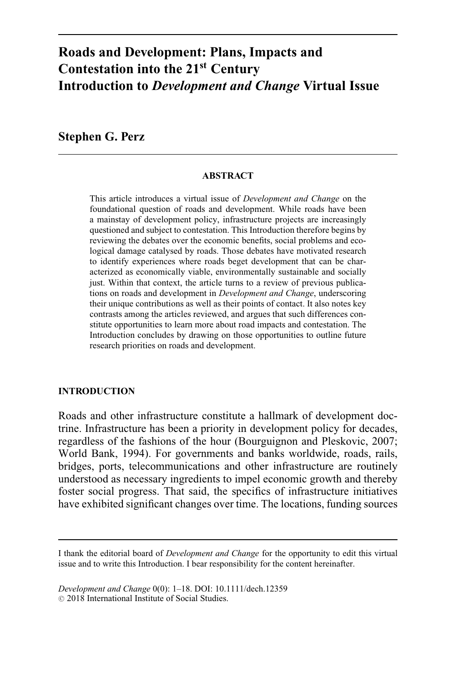# **Roads and Development: Plans, Impacts and Contestation into the 21st Century Introduction to** *Development and Change* **Virtual Issue**

**Stephen G. Perz**

#### **ABSTRACT**

This article introduces a virtual issue of *Development and Change* on the foundational question of roads and development. While roads have been a mainstay of development policy, infrastructure projects are increasingly questioned and subject to contestation. This Introduction therefore begins by reviewing the debates over the economic benefits, social problems and ecological damage catalysed by roads. Those debates have motivated research to identify experiences where roads beget development that can be characterized as economically viable, environmentally sustainable and socially just. Within that context, the article turns to a review of previous publications on roads and development in *Development and Change*, underscoring their unique contributions as well as their points of contact. It also notes key contrasts among the articles reviewed, and argues that such differences constitute opportunities to learn more about road impacts and contestation. The Introduction concludes by drawing on those opportunities to outline future research priorities on roads and development.

### **INTRODUCTION**

Roads and other infrastructure constitute a hallmark of development doctrine. Infrastructure has been a priority in development policy for decades, regardless of the fashions of the hour (Bourguignon and Pleskovic, 2007; World Bank, 1994). For governments and banks worldwide, roads, rails, bridges, ports, telecommunications and other infrastructure are routinely understood as necessary ingredients to impel economic growth and thereby foster social progress. That said, the specifics of infrastructure initiatives have exhibited significant changes over time. The locations, funding sources

*Development and Change* 0(0): 1–18. DOI: 10.1111/dech.12359  $\odot$  2018 International Institute of Social Studies.

I thank the editorial board of *Development and Change* for the opportunity to edit this virtual issue and to write this Introduction. I bear responsibility for the content hereinafter.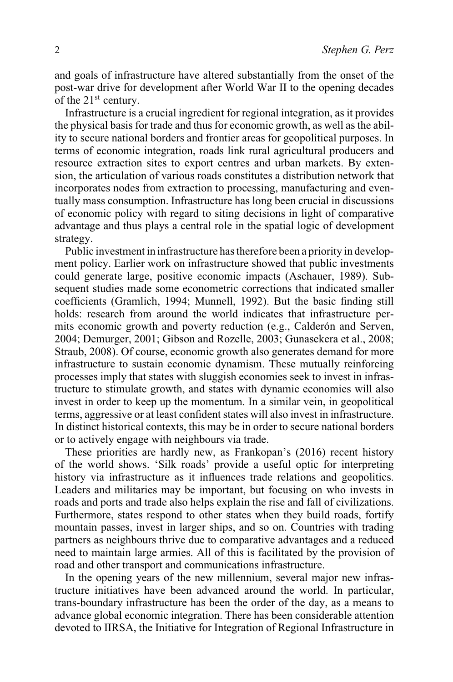and goals of infrastructure have altered substantially from the onset of the post-war drive for development after World War II to the opening decades of the 21<sup>st</sup> century.

Infrastructure is a crucial ingredient for regional integration, as it provides the physical basis for trade and thus for economic growth, as well as the ability to secure national borders and frontier areas for geopolitical purposes. In terms of economic integration, roads link rural agricultural producers and resource extraction sites to export centres and urban markets. By extension, the articulation of various roads constitutes a distribution network that incorporates nodes from extraction to processing, manufacturing and eventually mass consumption. Infrastructure has long been crucial in discussions of economic policy with regard to siting decisions in light of comparative advantage and thus plays a central role in the spatial logic of development strategy.

Public investment in infrastructure has therefore been a priority in development policy. Earlier work on infrastructure showed that public investments could generate large, positive economic impacts (Aschauer, 1989). Subsequent studies made some econometric corrections that indicated smaller coefficients (Gramlich, 1994; Munnell, 1992). But the basic finding still holds: research from around the world indicates that infrastructure permits economic growth and poverty reduction (e.g., Calderón and Serven, 2004; Demurger, 2001; Gibson and Rozelle, 2003; Gunasekera et al., 2008; Straub, 2008). Of course, economic growth also generates demand for more infrastructure to sustain economic dynamism. These mutually reinforcing processes imply that states with sluggish economies seek to invest in infrastructure to stimulate growth, and states with dynamic economies will also invest in order to keep up the momentum. In a similar vein, in geopolitical terms, aggressive or at least confident states will also invest in infrastructure. In distinct historical contexts, this may be in order to secure national borders or to actively engage with neighbours via trade.

These priorities are hardly new, as Frankopan's (2016) recent history of the world shows. 'Silk roads' provide a useful optic for interpreting history via infrastructure as it influences trade relations and geopolitics. Leaders and militaries may be important, but focusing on who invests in roads and ports and trade also helps explain the rise and fall of civilizations. Furthermore, states respond to other states when they build roads, fortify mountain passes, invest in larger ships, and so on. Countries with trading partners as neighbours thrive due to comparative advantages and a reduced need to maintain large armies. All of this is facilitated by the provision of road and other transport and communications infrastructure.

In the opening years of the new millennium, several major new infrastructure initiatives have been advanced around the world. In particular, trans-boundary infrastructure has been the order of the day, as a means to advance global economic integration. There has been considerable attention devoted to IIRSA, the Initiative for Integration of Regional Infrastructure in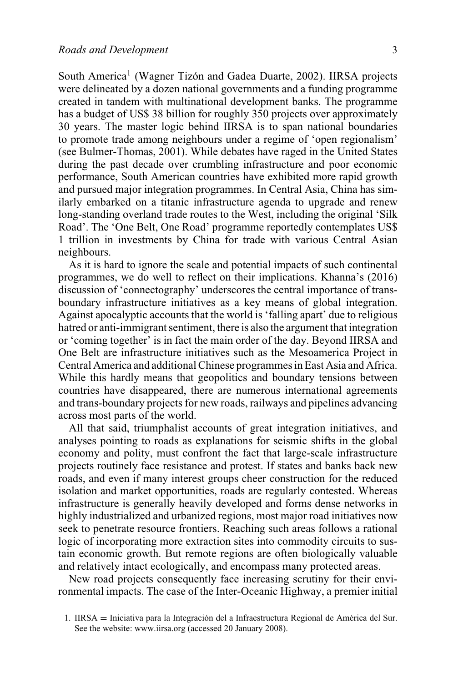South America<sup>1</sup> (Wagner Tizón and Gadea Duarte, 2002). IIRSA projects were delineated by a dozen national governments and a funding programme created in tandem with multinational development banks. The programme has a budget of US\$ 38 billion for roughly 350 projects over approximately 30 years. The master logic behind IIRSA is to span national boundaries to promote trade among neighbours under a regime of 'open regionalism' (see Bulmer-Thomas, 2001). While debates have raged in the United States during the past decade over crumbling infrastructure and poor economic performance, South American countries have exhibited more rapid growth and pursued major integration programmes. In Central Asia, China has similarly embarked on a titanic infrastructure agenda to upgrade and renew long-standing overland trade routes to the West, including the original 'Silk Road'. The 'One Belt, One Road' programme reportedly contemplates US\$ 1 trillion in investments by China for trade with various Central Asian neighbours.

As it is hard to ignore the scale and potential impacts of such continental programmes, we do well to reflect on their implications. Khanna's (2016) discussion of 'connectography' underscores the central importance of transboundary infrastructure initiatives as a key means of global integration. Against apocalyptic accounts that the world is 'falling apart' due to religious hatred or anti-immigrant sentiment, there is also the argument that integration or 'coming together' is in fact the main order of the day. Beyond IIRSA and One Belt are infrastructure initiatives such as the Mesoamerica Project in Central America and additional Chinese programmes in East Asia and Africa. While this hardly means that geopolitics and boundary tensions between countries have disappeared, there are numerous international agreements and trans-boundary projects for new roads, railways and pipelines advancing across most parts of the world.

All that said, triumphalist accounts of great integration initiatives, and analyses pointing to roads as explanations for seismic shifts in the global economy and polity, must confront the fact that large-scale infrastructure projects routinely face resistance and protest. If states and banks back new roads, and even if many interest groups cheer construction for the reduced isolation and market opportunities, roads are regularly contested. Whereas infrastructure is generally heavily developed and forms dense networks in highly industrialized and urbanized regions, most major road initiatives now seek to penetrate resource frontiers. Reaching such areas follows a rational logic of incorporating more extraction sites into commodity circuits to sustain economic growth. But remote regions are often biologically valuable and relatively intact ecologically, and encompass many protected areas.

New road projects consequently face increasing scrutiny for their environmental impacts. The case of the Inter-Oceanic Highway, a premier initial

<sup>1.</sup> IIRSA = Iniciativa para la Integración del a Infraestructura Regional de América del Sur. See the website: [www.iirsa.org](http://www.iirsa.org) (accessed 20 January 2008).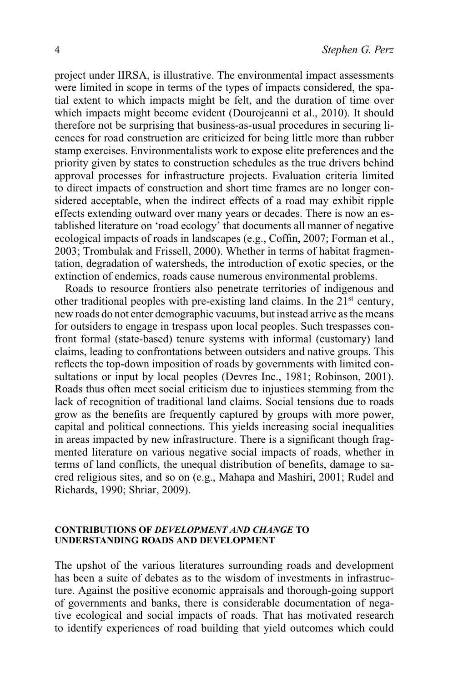project under IIRSA, is illustrative. The environmental impact assessments were limited in scope in terms of the types of impacts considered, the spatial extent to which impacts might be felt, and the duration of time over which impacts might become evident (Dourojeanni et al., 2010). It should therefore not be surprising that business-as-usual procedures in securing licences for road construction are criticized for being little more than rubber stamp exercises. Environmentalists work to expose elite preferences and the priority given by states to construction schedules as the true drivers behind approval processes for infrastructure projects. Evaluation criteria limited to direct impacts of construction and short time frames are no longer considered acceptable, when the indirect effects of a road may exhibit ripple effects extending outward over many years or decades. There is now an established literature on 'road ecology' that documents all manner of negative ecological impacts of roads in landscapes (e.g., Coffin, 2007; Forman et al., 2003; Trombulak and Frissell, 2000). Whether in terms of habitat fragmentation, degradation of watersheds, the introduction of exotic species, or the extinction of endemics, roads cause numerous environmental problems.

Roads to resource frontiers also penetrate territories of indigenous and other traditional peoples with pre-existing land claims. In the  $21<sup>st</sup>$  century, new roads do not enter demographic vacuums, but instead arrive as the means for outsiders to engage in trespass upon local peoples. Such trespasses confront formal (state-based) tenure systems with informal (customary) land claims, leading to confrontations between outsiders and native groups. This reflects the top-down imposition of roads by governments with limited consultations or input by local peoples (Devres Inc., 1981; Robinson, 2001). Roads thus often meet social criticism due to injustices stemming from the lack of recognition of traditional land claims. Social tensions due to roads grow as the benefits are frequently captured by groups with more power, capital and political connections. This yields increasing social inequalities in areas impacted by new infrastructure. There is a significant though fragmented literature on various negative social impacts of roads, whether in terms of land conflicts, the unequal distribution of benefits, damage to sacred religious sites, and so on (e.g., Mahapa and Mashiri, 2001; Rudel and Richards, 1990; Shriar, 2009).

#### **CONTRIBUTIONS OF** *DEVELOPMENT AND CHANGE* **TO UNDERSTANDING ROADS AND DEVELOPMENT**

The upshot of the various literatures surrounding roads and development has been a suite of debates as to the wisdom of investments in infrastructure. Against the positive economic appraisals and thorough-going support of governments and banks, there is considerable documentation of negative ecological and social impacts of roads. That has motivated research to identify experiences of road building that yield outcomes which could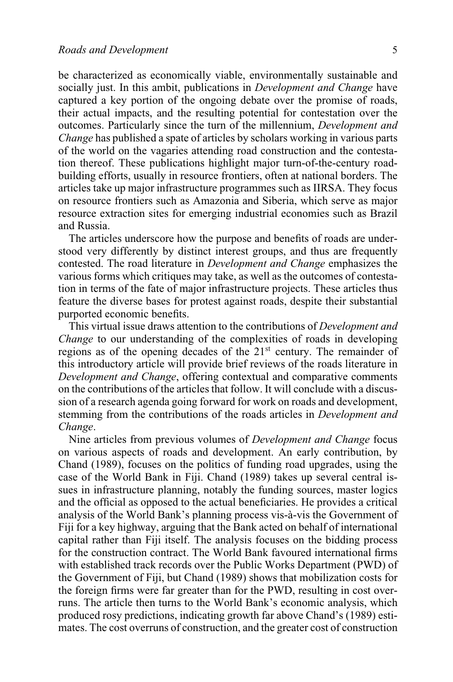be characterized as economically viable, environmentally sustainable and socially just. In this ambit, publications in *Development and Change* have captured a key portion of the ongoing debate over the promise of roads, their actual impacts, and the resulting potential for contestation over the outcomes. Particularly since the turn of the millennium, *Development and Change* has published a spate of articles by scholars working in various parts of the world on the vagaries attending road construction and the contestation thereof. These publications highlight major turn-of-the-century roadbuilding efforts, usually in resource frontiers, often at national borders. The articles take up major infrastructure programmes such as IIRSA. They focus on resource frontiers such as Amazonia and Siberia, which serve as major resource extraction sites for emerging industrial economies such as Brazil and Russia.

The articles underscore how the purpose and benefits of roads are understood very differently by distinct interest groups, and thus are frequently contested. The road literature in *Development and Change* emphasizes the various forms which critiques may take, as well as the outcomes of contestation in terms of the fate of major infrastructure projects. These articles thus feature the diverse bases for protest against roads, despite their substantial purported economic benefits.

This virtual issue draws attention to the contributions of *Development and Change* to our understanding of the complexities of roads in developing regions as of the opening decades of the  $21<sup>st</sup>$  century. The remainder of this introductory article will provide brief reviews of the roads literature in *Development and Change*, offering contextual and comparative comments on the contributions of the articles that follow. It will conclude with a discussion of a research agenda going forward for work on roads and development, stemming from the contributions of the roads articles in *Development and Change*.

Nine articles from previous volumes of *Development and Change* focus on various aspects of roads and development. An early contribution, by [Chand \(1989\),](http://onlinelibrary.wiley.com/doi/10.1111/j.1467-7660.1989.tb00347.x/full) focuses on the politics of funding road upgrades, using the case of the World Bank in Fiji. [Chand \(1989\)](http://onlinelibrary.wiley.com/doi/10.1111/j.1467-7660.1989.tb00347.x/full) takes up several central issues in infrastructure planning, notably the funding sources, master logics and the official as opposed to the actual beneficiaries. He provides a critical analysis of the World Bank's planning process vis-à-vis the Government of Fiji for a key highway, arguing that the Bank acted on behalf of international capital rather than Fiji itself. The analysis focuses on the bidding process for the construction contract. The World Bank favoured international firms with established track records over the Public Works Department (PWD) of the Government of Fiji, but [Chand \(1989\)](http://onlinelibrary.wiley.com/doi/10.1111/j.1467-7660.1989.tb00347.x/full) shows that mobilization costs for the foreign firms were far greater than for the PWD, resulting in cost overruns. The article then turns to the World Bank's economic analysis, which produced rosy predictions, indicating growth far above [Chand's \(1989\)](http://onlinelibrary.wiley.com/doi/10.1111/j.1467-7660.1989.tb00347.x/full) estimates. The cost overruns of construction, and the greater cost of construction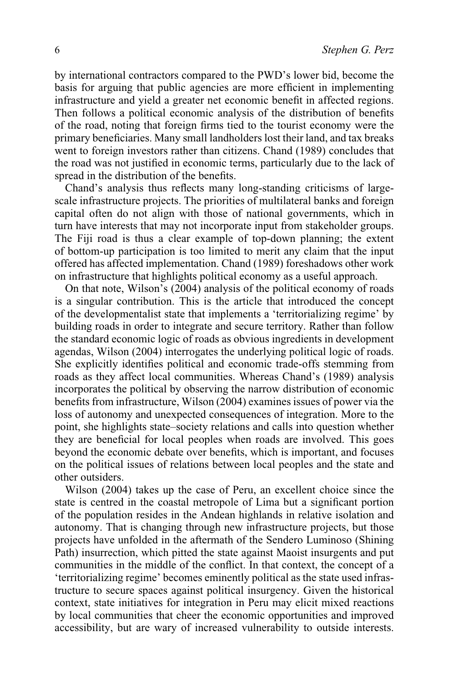by international contractors compared to the PWD's lower bid, become the basis for arguing that public agencies are more efficient in implementing infrastructure and yield a greater net economic benefit in affected regions. Then follows a political economic analysis of the distribution of benefits of the road, noting that foreign firms tied to the tourist economy were the primary beneficiaries. Many small landholders lost their land, and tax breaks went to foreign investors rather than citizens. [Chand \(1989\)](http://onlinelibrary.wiley.com/doi/10.1111/j.1467-7660.1989.tb00347.x/full) concludes that the road was not justified in economic terms, particularly due to the lack of spread in the distribution of the benefits.

Chand's analysis thus reflects many long-standing criticisms of largescale infrastructure projects. The priorities of multilateral banks and foreign capital often do not align with those of national governments, which in turn have interests that may not incorporate input from stakeholder groups. The Fiji road is thus a clear example of top-down planning; the extent of bottom-up participation is too limited to merit any claim that the input offered has affected implementation. [Chand \(1989\)](http://onlinelibrary.wiley.com/doi/10.1111/j.1467-7660.1989.tb00347.x/full) foreshadows other work on infrastructure that highlights political economy as a useful approach.

On that note, [Wilson's \(2004\)](http://onlinelibrary.wiley.com/doi/10.1111/j.1467-7660.2004.00364.x/full) analysis of the political economy of roads is a singular contribution. This is the article that introduced the concept of the developmentalist state that implements a 'territorializing regime' by building roads in order to integrate and secure territory. Rather than follow the standard economic logic of roads as obvious ingredients in development agendas, [Wilson \(2004\)](http://onlinelibrary.wiley.com/doi/10.1111/j.1467-7660.2004.00364.x/full) interrogates the underlying political logic of roads. She explicitly identifies political and economic trade-offs stemming from roads as they affect local communities. Whereas [Chand's \(1989\)](http://onlinelibrary.wiley.com/doi/10.1111/j.1467-7660.1989.tb00347.x/full) analysis incorporates the political by observing the narrow distribution of economic benefits from infrastructure, [Wilson \(2004\)](http://onlinelibrary.wiley.com/doi/10.1111/j.1467-7660.2004.00364.x/full) examines issues of power via the loss of autonomy and unexpected consequences of integration. More to the point, she highlights state–society relations and calls into question whether they are beneficial for local peoples when roads are involved. This goes beyond the economic debate over benefits, which is important, and focuses on the political issues of relations between local peoples and the state and other outsiders.

[Wilson \(2004\)](http://onlinelibrary.wiley.com/doi/10.1111/j.1467-7660.2004.00364.x/full) takes up the case of Peru, an excellent choice since the state is centred in the coastal metropole of Lima but a significant portion of the population resides in the Andean highlands in relative isolation and autonomy. That is changing through new infrastructure projects, but those projects have unfolded in the aftermath of the Sendero Luminoso (Shining Path) insurrection, which pitted the state against Maoist insurgents and put communities in the middle of the conflict. In that context, the concept of a 'territorializing regime' becomes eminently political as the state used infrastructure to secure spaces against political insurgency. Given the historical context, state initiatives for integration in Peru may elicit mixed reactions by local communities that cheer the economic opportunities and improved accessibility, but are wary of increased vulnerability to outside interests.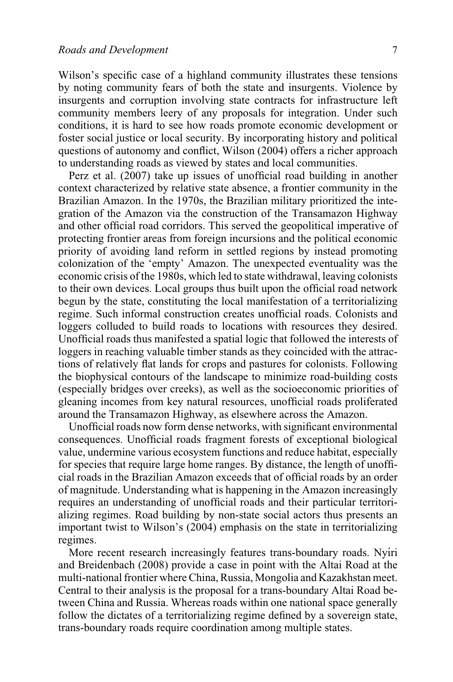Wilson's specific case of a highland community illustrates these tensions by noting community fears of both the state and insurgents. Violence by insurgents and corruption involving state contracts for infrastructure left community members leery of any proposals for integration. Under such conditions, it is hard to see how roads promote economic development or foster social justice or local security. By incorporating history and political questions of autonomy and conflict, [Wilson \(2004\)](http://onlinelibrary.wiley.com/doi/10.1111/j.1467-7660.2004.00364.x/full) offers a richer approach to understanding roads as viewed by states and local communities.

[Perz et al. \(2007\)](http://onlinelibrary.wiley.com/doi/10.1111/j.1467-7660.2007.00422.x/full) take up issues of unofficial road building in another context characterized by relative state absence, a frontier community in the Brazilian Amazon. In the 1970s, the Brazilian military prioritized the integration of the Amazon via the construction of the Transamazon Highway and other official road corridors. This served the geopolitical imperative of protecting frontier areas from foreign incursions and the political economic priority of avoiding land reform in settled regions by instead promoting colonization of the 'empty' Amazon. The unexpected eventuality was the economic crisis of the 1980s, which led to state withdrawal, leaving colonists to their own devices. Local groups thus built upon the official road network begun by the state, constituting the local manifestation of a territorializing regime. Such informal construction creates unofficial roads. Colonists and loggers colluded to build roads to locations with resources they desired. Unofficial roads thus manifested a spatial logic that followed the interests of loggers in reaching valuable timber stands as they coincided with the attractions of relatively flat lands for crops and pastures for colonists. Following the biophysical contours of the landscape to minimize road-building costs (especially bridges over creeks), as well as the socioeconomic priorities of gleaning incomes from key natural resources, unofficial roads proliferated around the Transamazon Highway, as elsewhere across the Amazon.

Unofficial roads now form dense networks, with significant environmental consequences. Unofficial roads fragment forests of exceptional biological value, undermine various ecosystem functions and reduce habitat, especially for species that require large home ranges. By distance, the length of unofficial roads in the Brazilian Amazon exceeds that of official roads by an order of magnitude. Understanding what is happening in the Amazon increasingly requires an understanding of unofficial roads and their particular territorializing regimes. Road building by non-state social actors thus presents an important twist to [Wilson's \(2004\)](http://onlinelibrary.wiley.com/doi/10.1111/j.1467-7660.2004.00364.x/full) emphasis on the state in territorializing regimes.

More recent research increasingly features trans-boundary roads. Nyíri [and Breidenbach \(2008\)](http://onlinelibrary.wiley.com/doi/10.1111/j.1467-7660.2008.00471.x/full) provide a case in point with the Altai Road at the multi-national frontier where China, Russia, Mongolia and Kazakhstan meet. Central to their analysis is the proposal for a trans-boundary Altai Road between China and Russia. Whereas roads within one national space generally follow the dictates of a territorializing regime defined by a sovereign state, trans-boundary roads require coordination among multiple states.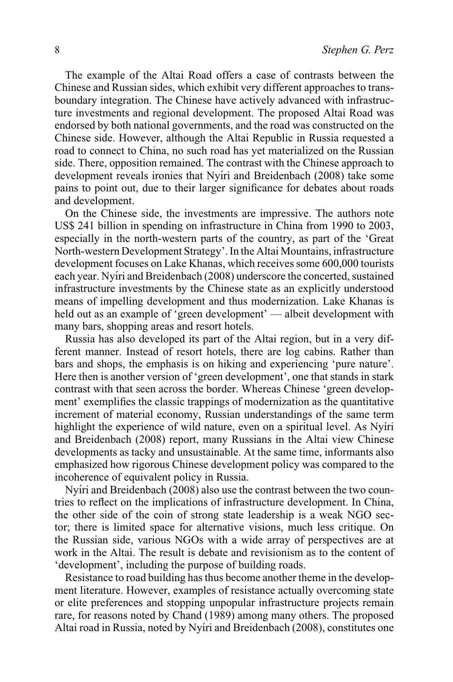The example of the Altai Road offers a case of contrasts between the Chinese and Russian sides, which exhibit very different approaches to transboundary integration. The Chinese have actively advanced with infrastructure investments and regional development. The proposed Altai Road was endorsed by both national governments, and the road was constructed on the Chinese side. However, although the Altai Republic in Russia requested a road to connect to China, no such road has yet materialized on the Russian side. There, opposition remained. The contrast with the Chinese approach to development reveals ironies that Nyíri and Breidenbach (2008) take some pains to point out, due to their larger significance for debates about roads and development.

On the Chinese side, the investments are impressive. The authors note US\$ 241 billion in spending on infrastructure in China from 1990 to 2003, especially in the north-western parts of the country, as part of the 'Great North-western Development Strategy'. In the Altai Mountains, infrastructure development focuses on Lake Khanas, which receives some 600,000 tourists each year. Nyíri and Breidenbach (2008) underscore the concerted, sustained infrastructure investments by the Chinese state as an explicitly understood means of impelling development and thus modernization. Lake Khanas is held out as an example of 'green development' — albeit development with many bars, shopping areas and resort hotels.

Russia has also developed its part of the Altai region, but in a very different manner. Instead of resort hotels, there are log cabins. Rather than bars and shops, the emphasis is on hiking and experiencing 'pure nature'. Here then is another version of 'green development', one that stands in stark contrast with that seen across the border. Whereas Chinese 'green development' exemplifies the classic trappings of modernization as the quantitative increment of material economy, Russian understandings of the same term highlight the experience of wild nature, even on a spiritual level. As Nyíri [and Breidenbach \(2008\)](http://onlinelibrary.wiley.com/doi/10.1111/j.1467-7660.2008.00471.x/full) report, many Russians in the Altai view Chinese developments as tacky and unsustainable. At the same time, informants also emphasized how rigorous Chinese development policy was compared to the incoherence of equivalent policy in Russia.

Nyiri and Breidenbach (2008) also use the contrast between the two countries to reflect on the implications of infrastructure development. In China, the other side of the coin of strong state leadership is a weak NGO sector; there is limited space for alternative visions, much less critique. On the Russian side, various NGOs with a wide array of perspectives are at work in the Altai. The result is debate and revisionism as to the content of 'development', including the purpose of building roads.

Resistance to road building has thus become another theme in the development literature. However, examples of resistance actually overcoming state or elite preferences and stopping unpopular infrastructure projects remain rare, for reasons noted by [Chand \(1989\)](http://onlinelibrary.wiley.com/doi/10.1111/j.1467-7660.1989.tb00347.x/full) among many others. The proposed Altai road in Russia, noted by Nyíri and Breidenbach (2008), constitutes one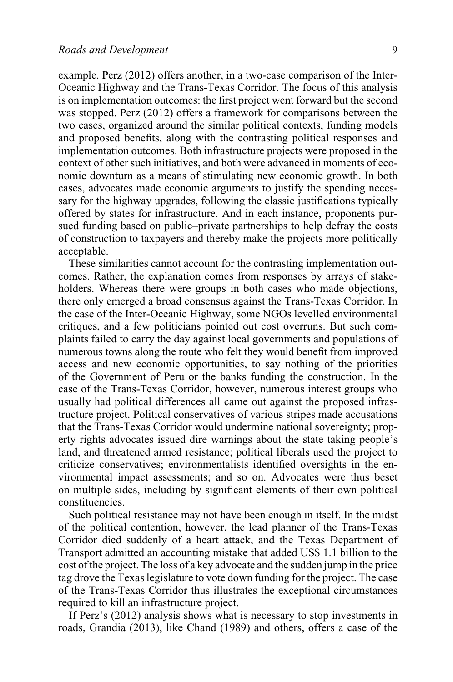example. [Perz \(2012\)](http://onlinelibrary.wiley.com/doi/10.1111/j.1467-7660.2012.01773.x/full) offers another, in a two-case comparison of the Inter-Oceanic Highway and the Trans-Texas Corridor. The focus of this analysis is on implementation outcomes: the first project went forward but the second was stopped. [Perz \(2012\)](http://onlinelibrary.wiley.com/doi/10.1111/j.1467-7660.2012.01773.x/full) offers a framework for comparisons between the two cases, organized around the similar political contexts, funding models and proposed benefits, along with the contrasting political responses and implementation outcomes. Both infrastructure projects were proposed in the context of other such initiatives, and both were advanced in moments of economic downturn as a means of stimulating new economic growth. In both cases, advocates made economic arguments to justify the spending necessary for the highway upgrades, following the classic justifications typically offered by states for infrastructure. And in each instance, proponents pursued funding based on public–private partnerships to help defray the costs of construction to taxpayers and thereby make the projects more politically acceptable.

These similarities cannot account for the contrasting implementation outcomes. Rather, the explanation comes from responses by arrays of stakeholders. Whereas there were groups in both cases who made objections, there only emerged a broad consensus against the Trans-Texas Corridor. In the case of the Inter-Oceanic Highway, some NGOs levelled environmental critiques, and a few politicians pointed out cost overruns. But such complaints failed to carry the day against local governments and populations of numerous towns along the route who felt they would benefit from improved access and new economic opportunities, to say nothing of the priorities of the Government of Peru or the banks funding the construction. In the case of the Trans-Texas Corridor, however, numerous interest groups who usually had political differences all came out against the proposed infrastructure project. Political conservatives of various stripes made accusations that the Trans-Texas Corridor would undermine national sovereignty; property rights advocates issued dire warnings about the state taking people's land, and threatened armed resistance; political liberals used the project to criticize conservatives; environmentalists identified oversights in the environmental impact assessments; and so on. Advocates were thus beset on multiple sides, including by significant elements of their own political constituencies.

Such political resistance may not have been enough in itself. In the midst of the political contention, however, the lead planner of the Trans-Texas Corridor died suddenly of a heart attack, and the Texas Department of Transport admitted an accounting mistake that added US\$ 1.1 billion to the cost of the project. The loss of a key advocate and the sudden jump in the price tag drove the Texas legislature to vote down funding for the project. The case of the Trans-Texas Corridor thus illustrates the exceptional circumstances required to kill an infrastructure project.

If [Perz's \(2012\)](http://onlinelibrary.wiley.com/doi/10.1111/j.1467-7660.2012.01773.x/full) analysis shows what is necessary to stop investments in roads, [Grandia \(2013\),](http://onlinelibrary.wiley.com/doi/10.1111/dech.12020/full) like [Chand \(1989\)](http://onlinelibrary.wiley.com/doi/10.1111/j.1467-7660.1989.tb00347.x/full) and others, offers a case of the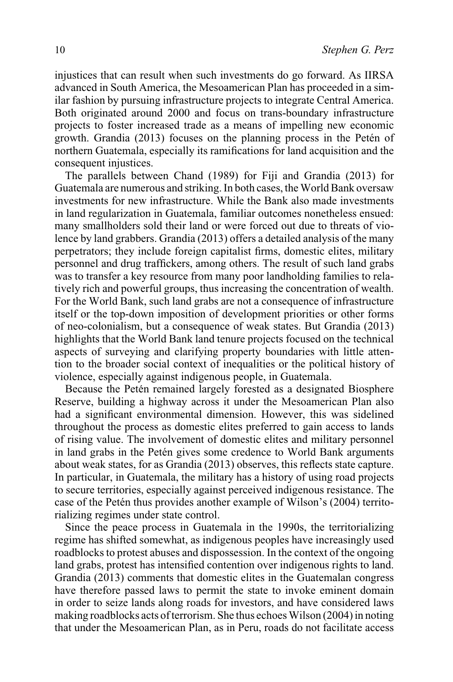injustices that can result when such investments do go forward. As IIRSA advanced in South America, the Mesoamerican Plan has proceeded in a similar fashion by pursuing infrastructure projects to integrate Central America. Both originated around 2000 and focus on trans-boundary infrastructure projects to foster increased trade as a means of impelling new economic growth. [Grandia \(2013\)](http://onlinelibrary.wiley.com/doi/10.1111/dech.12020/full) focuses on the planning process in the Petén of northern Guatemala, especially its ramifications for land acquisition and the consequent injustices.

The parallels between [Chand \(1989\)](http://onlinelibrary.wiley.com/doi/10.1111/j.1467-7660.1989.tb00347.x/full) for Fiji and [Grandia \(2013\)](http://onlinelibrary.wiley.com/doi/10.1111/dech.12020/full) for Guatemala are numerous and striking. In both cases, theWorld Bank oversaw investments for new infrastructure. While the Bank also made investments in land regularization in Guatemala, familiar outcomes nonetheless ensued: many smallholders sold their land or were forced out due to threats of violence by land grabbers. [Grandia \(2013\)](http://onlinelibrary.wiley.com/doi/10.1111/dech.12020/full) offers a detailed analysis of the many perpetrators; they include foreign capitalist firms, domestic elites, military personnel and drug traffickers, among others. The result of such land grabs was to transfer a key resource from many poor landholding families to relatively rich and powerful groups, thus increasing the concentration of wealth. For the World Bank, such land grabs are not a consequence of infrastructure itself or the top-down imposition of development priorities or other forms of neo-colonialism, but a consequence of weak states. But [Grandia \(2013\)](http://onlinelibrary.wiley.com/doi/10.1111/dech.12020/full) highlights that the World Bank land tenure projects focused on the technical aspects of surveying and clarifying property boundaries with little attention to the broader social context of inequalities or the political history of violence, especially against indigenous people, in Guatemala.

Because the Petén remained largely forested as a designated Biosphere Reserve, building a highway across it under the Mesoamerican Plan also had a significant environmental dimension. However, this was sidelined throughout the process as domestic elites preferred to gain access to lands of rising value. The involvement of domestic elites and military personnel in land grabs in the Petén gives some credence to World Bank arguments about weak states, for as [Grandia \(2013\)](http://onlinelibrary.wiley.com/doi/10.1111/dech.12020/full) observes, this reflects state capture. In particular, in Guatemala, the military has a history of using road projects to secure territories, especially against perceived indigenous resistance. The case of the Petén thus provides another example of [Wilson's \(2004\)](http://onlinelibrary.wiley.com/doi/10.1111/j.1467-7660.2004.00364.x/full) territorializing regimes under state control.

Since the peace process in Guatemala in the 1990s, the territorializing regime has shifted somewhat, as indigenous peoples have increasingly used roadblocks to protest abuses and dispossession. In the context of the ongoing land grabs, protest has intensified contention over indigenous rights to land. [Grandia \(2013\)](http://onlinelibrary.wiley.com/doi/10.1111/dech.12020/full) comments that domestic elites in the Guatemalan congress have therefore passed laws to permit the state to invoke eminent domain in order to seize lands along roads for investors, and have considered laws making roadblocks acts of terrorism. She thus echoes [Wilson \(2004\)](http://onlinelibrary.wiley.com/doi/10.1111/j.1467-7660.2004.00364.x/full) in noting that under the Mesoamerican Plan, as in Peru, roads do not facilitate access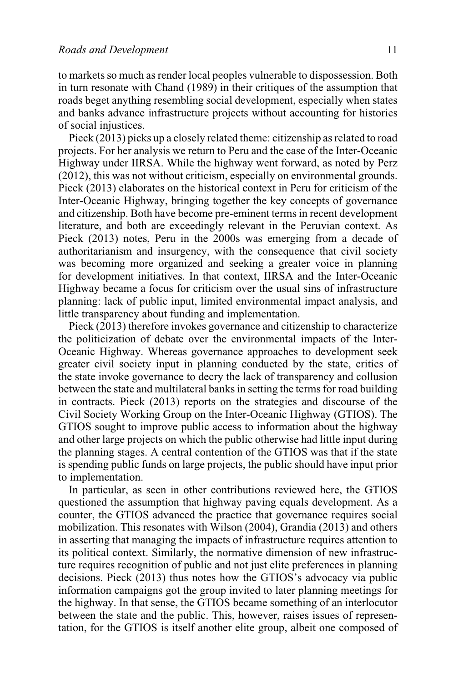to markets so much as render local peoples vulnerable to dispossession. Both in turn resonate with [Chand \(1989\)](http://onlinelibrary.wiley.com/doi/10.1111/j.1467-7660.1989.tb00347.x/full) in their critiques of the assumption that roads beget anything resembling social development, especially when states and banks advance infrastructure projects without accounting for histories of social injustices.

[Pieck \(2013\)](http://onlinelibrary.wiley.com/doi/10.1111/dech.12056/full) picks up a closely related theme: citizenship as related to road projects. For her analysis we return to Peru and the case of the Inter-Oceanic Highway under IIRSA. While the highway went forward, as noted by [Perz](http://onlinelibrary.wiley.com/doi/10.1111/j.1467-7660.2012.01773.x/full) [\(2012\),](http://onlinelibrary.wiley.com/doi/10.1111/j.1467-7660.2012.01773.x/full) this was not without criticism, especially on environmental grounds. [Pieck \(2013\)](http://onlinelibrary.wiley.com/doi/10.1111/dech.12056/full) elaborates on the historical context in Peru for criticism of the Inter-Oceanic Highway, bringing together the key concepts of governance and citizenship. Both have become pre-eminent terms in recent development literature, and both are exceedingly relevant in the Peruvian context. As [Pieck \(2013\)](http://onlinelibrary.wiley.com/doi/10.1111/dech.12056/full) notes, Peru in the 2000s was emerging from a decade of authoritarianism and insurgency, with the consequence that civil society was becoming more organized and seeking a greater voice in planning for development initiatives. In that context, IIRSA and the Inter-Oceanic Highway became a focus for criticism over the usual sins of infrastructure planning: lack of public input, limited environmental impact analysis, and little transparency about funding and implementation.

[Pieck \(2013\)](http://onlinelibrary.wiley.com/doi/10.1111/dech.12056/full) therefore invokes governance and citizenship to characterize the politicization of debate over the environmental impacts of the Inter-Oceanic Highway. Whereas governance approaches to development seek greater civil society input in planning conducted by the state, critics of the state invoke governance to decry the lack of transparency and collusion between the state and multilateral banks in setting the terms for road building in contracts. [Pieck \(2013\)](http://onlinelibrary.wiley.com/doi/10.1111/dech.12056/full) reports on the strategies and discourse of the Civil Society Working Group on the Inter-Oceanic Highway (GTIOS). The GTIOS sought to improve public access to information about the highway and other large projects on which the public otherwise had little input during the planning stages. A central contention of the GTIOS was that if the state is spending public funds on large projects, the public should have input prior to implementation.

In particular, as seen in other contributions reviewed here, the GTIOS questioned the assumption that highway paving equals development. As a counter, the GTIOS advanced the practice that governance requires social mobilization. This resonates with [Wilson \(2004\),](http://onlinelibrary.wiley.com/doi/10.1111/j.1467-7660.2004.00364.x/full) [Grandia \(2013\)](http://onlinelibrary.wiley.com/doi/10.1111/dech.12020/full) and others in asserting that managing the impacts of infrastructure requires attention to its political context. Similarly, the normative dimension of new infrastructure requires recognition of public and not just elite preferences in planning decisions. [Pieck \(2013\)](http://onlinelibrary.wiley.com/doi/10.1111/dech.12056/full) thus notes how the GTIOS's advocacy via public information campaigns got the group invited to later planning meetings for the highway. In that sense, the GTIOS became something of an interlocutor between the state and the public. This, however, raises issues of representation, for the GTIOS is itself another elite group, albeit one composed of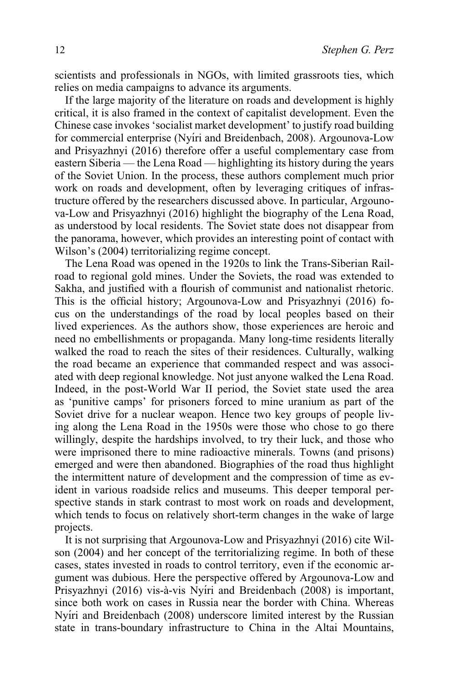scientists and professionals in NGOs, with limited grassroots ties, which relies on media campaigns to advance its arguments.

If the large majority of the literature on roads and development is highly critical, it is also framed in the context of capitalist development. Even the Chinese case invokes 'socialist market development' to justify road building for commercial enterprise (Nyíri and Breidenbach, 2008). [Argounova-Low](http://onlinelibrary.wiley.com/doi/10.1111/j.1467-7660.2008.00471.x/full) [and Prisyazhnyi \(2016\)](http://onlinelibrary.wiley.com/doi/10.1111/j.1467-7660.2008.00471.x/full) therefore offer a useful complementary case from eastern Siberia — the Lena Road — highlighting its history during the years of the Soviet Union. In the process, these authors complement much prior work on roads and development, often by leveraging critiques of infrastructure offered by the researchers discussed above. In particular, [Argouno](http://onlinelibrary.wiley.com/doi/10.1111/j.1467-7660.2008.00471.x/full)[va-Low and Prisyazhnyi \(2016\)](http://onlinelibrary.wiley.com/doi/10.1111/j.1467-7660.2008.00471.x/full) highlight the biography of the Lena Road, as understood by local residents. The Soviet state does not disappear from the panorama, however, which provides an interesting point of contact with [Wilson's \(2004\)](http://onlinelibrary.wiley.com/doi/10.1111/j.1467-7660.2004.00364.x/full) territorializing regime concept.

The Lena Road was opened in the 1920s to link the Trans-Siberian Railroad to regional gold mines. Under the Soviets, the road was extended to Sakha, and justified with a flourish of communist and nationalist rhetoric. This is the official history; [Argounova-Low and Prisyazhnyi \(2016\)](http://onlinelibrary.wiley.com/doi/10.1111/j.1467-7660.2008.00471.x/full) focus on the understandings of the road by local peoples based on their lived experiences. As the authors show, those experiences are heroic and need no embellishments or propaganda. Many long-time residents literally walked the road to reach the sites of their residences. Culturally, walking the road became an experience that commanded respect and was associated with deep regional knowledge. Not just anyone walked the Lena Road. Indeed, in the post-World War II period, the Soviet state used the area as 'punitive camps' for prisoners forced to mine uranium as part of the Soviet drive for a nuclear weapon. Hence two key groups of people living along the Lena Road in the 1950s were those who chose to go there willingly, despite the hardships involved, to try their luck, and those who were imprisoned there to mine radioactive minerals. Towns (and prisons) emerged and were then abandoned. Biographies of the road thus highlight the intermittent nature of development and the compression of time as evident in various roadside relics and museums. This deeper temporal perspective stands in stark contrast to most work on roads and development, which tends to focus on relatively short-term changes in the wake of large projects.

It is not surprising that [Argounova-Low and Prisyazhnyi \(2016\)](http://onlinelibrary.wiley.com/doi/10.1111/j.1467-7660.2008.00471.x/full) cite [Wil](http://onlinelibrary.wiley.com/doi/10.1111/j.1467-7660.2004.00364.x/full)[son \(2004\)](http://onlinelibrary.wiley.com/doi/10.1111/j.1467-7660.2004.00364.x/full) and her concept of the territorializing regime. In both of these cases, states invested in roads to control territory, even if the economic argument was dubious. Here the perspective offered by [Argounova-Low and](http://onlinelibrary.wiley.com/doi/10.1111/j.1467-7660.2008.00471.x/full) [Prisyazhnyi \(2016\)](http://onlinelibrary.wiley.com/doi/10.1111/j.1467-7660.2008.00471.x/full) vis-à-vis Nyíri and Breidenbach (2008) is important, since both work on cases in Russia near the border with China. Whereas Nyíri and Breidenbach (2008) underscore limited interest by the Russian state in trans-boundary infrastructure to China in the Altai Mountains,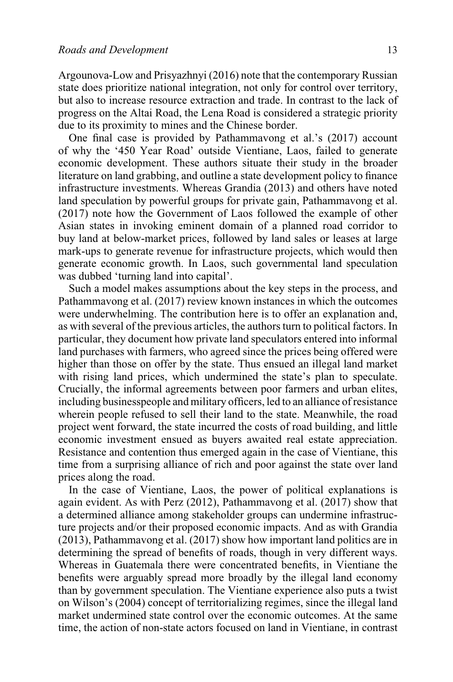[Argounova-Low and Prisyazhnyi \(2016\)](http://onlinelibrary.wiley.com/doi/10.1111/j.1467-7660.2008.00471.x/full) note that the contemporary Russian state does prioritize national integration, not only for control over territory, but also to increase resource extraction and trade. In contrast to the lack of progress on the Altai Road, the Lena Road is considered a strategic priority due to its proximity to mines and the Chinese border.

One final case is provided by [Pathammavong et al.'s \(2017\)](http://onlinelibrary.wiley.com/doi/10.1111/dech.12339/full) account of why the '450 Year Road' outside Vientiane, Laos, failed to generate economic development. These authors situate their study in the broader literature on land grabbing, and outline a state development policy to finance infrastructure investments. Whereas [Grandia \(2013\)](http://onlinelibrary.wiley.com/doi/10.1111/dech.12020/full) and others have noted land speculation by powerful groups for private gain, [Pathammavong et al.](http://onlinelibrary.wiley.com/doi/10.1111/dech.12339/full) [\(2017\)](http://onlinelibrary.wiley.com/doi/10.1111/dech.12339/full) note how the Government of Laos followed the example of other Asian states in invoking eminent domain of a planned road corridor to buy land at below-market prices, followed by land sales or leases at large mark-ups to generate revenue for infrastructure projects, which would then generate economic growth. In Laos, such governmental land speculation was dubbed 'turning land into capital'.

Such a model makes assumptions about the key steps in the process, and [Pathammavong et al. \(2017\)](http://onlinelibrary.wiley.com/doi/10.1111/dech.12339/full) review known instances in which the outcomes were underwhelming. The contribution here is to offer an explanation and, as with several of the previous articles, the authors turn to political factors. In particular, they document how private land speculators entered into informal land purchases with farmers, who agreed since the prices being offered were higher than those on offer by the state. Thus ensued an illegal land market with rising land prices, which undermined the state's plan to speculate. Crucially, the informal agreements between poor farmers and urban elites, including businesspeople and military officers, led to an alliance of resistance wherein people refused to sell their land to the state. Meanwhile, the road project went forward, the state incurred the costs of road building, and little economic investment ensued as buyers awaited real estate appreciation. Resistance and contention thus emerged again in the case of Vientiane, this time from a surprising alliance of rich and poor against the state over land prices along the road.

In the case of Vientiane, Laos, the power of political explanations is again evident. As with [Perz \(2012\),](http://onlinelibrary.wiley.com/doi/10.1111/j.1467-7660.2012.01773.x/full) [Pathammavong et al. \(2017\)](http://onlinelibrary.wiley.com/doi/10.1111/dech.12339/full) show that a determined alliance among stakeholder groups can undermine infrastructure projects and/or their proposed economic impacts. And as with [Grandia](http://onlinelibrary.wiley.com/doi/10.1111/dech.12020/full) [\(2013\),](http://onlinelibrary.wiley.com/doi/10.1111/dech.12020/full) [Pathammavong et al. \(2017\)](http://onlinelibrary.wiley.com/doi/10.1111/dech.12339/full) show how important land politics are in determining the spread of benefits of roads, though in very different ways. Whereas in Guatemala there were concentrated benefits, in Vientiane the benefits were arguably spread more broadly by the illegal land economy than by government speculation. The Vientiane experience also puts a twist on [Wilson's \(2004\)](http://onlinelibrary.wiley.com/doi/10.1111/j.1467-7660.2004.00364.x/full) concept of territorializing regimes, since the illegal land market undermined state control over the economic outcomes. At the same time, the action of non-state actors focused on land in Vientiane, in contrast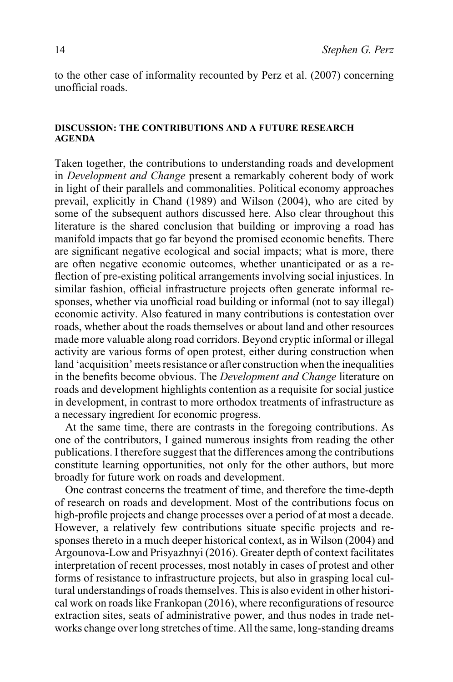to the other case of informality recounted by [Perz et al. \(2007\)](http://onlinelibrary.wiley.com/doi/10.1111/j.1467-7660.2007.00422.x/full) concerning unofficial roads.

### **DISCUSSION: THE CONTRIBUTIONS AND A FUTURE RESEARCH AGENDA**

Taken together, the contributions to understanding roads and development in *Development and Change* present a remarkably coherent body of work in light of their parallels and commonalities. Political economy approaches prevail, explicitly in [Chand \(1989\)](http://onlinelibrary.wiley.com/doi/10.1111/j.1467-7660.1989.tb00347.x/full) and [Wilson \(2004\),](http://onlinelibrary.wiley.com/doi/10.1111/j.1467-7660.2004.00364.x/full) who are cited by some of the subsequent authors discussed here. Also clear throughout this literature is the shared conclusion that building or improving a road has manifold impacts that go far beyond the promised economic benefits. There are significant negative ecological and social impacts; what is more, there are often negative economic outcomes, whether unanticipated or as a reflection of pre-existing political arrangements involving social injustices. In similar fashion, official infrastructure projects often generate informal responses, whether via unofficial road building or informal (not to say illegal) economic activity. Also featured in many contributions is contestation over roads, whether about the roads themselves or about land and other resources made more valuable along road corridors. Beyond cryptic informal or illegal activity are various forms of open protest, either during construction when land 'acquisition' meets resistance or after construction when the inequalities in the benefits become obvious. The *Development and Change* literature on roads and development highlights contention as a requisite for social justice in development, in contrast to more orthodox treatments of infrastructure as a necessary ingredient for economic progress.

At the same time, there are contrasts in the foregoing contributions. As one of the contributors, I gained numerous insights from reading the other publications. I therefore suggest that the differences among the contributions constitute learning opportunities, not only for the other authors, but more broadly for future work on roads and development.

One contrast concerns the treatment of time, and therefore the time-depth of research on roads and development. Most of the contributions focus on high-profile projects and change processes over a period of at most a decade. However, a relatively few contributions situate specific projects and responses thereto in a much deeper historical context, as in [Wilson \(2004\)](http://onlinelibrary.wiley.com/doi/10.1111/j.1467-7660.2004.00364.x/full) and [Argounova-Low and Prisyazhnyi \(2016\).](http://onlinelibrary.wiley.com/doi/10.1111/dech.12220/full) Greater depth of context facilitates interpretation of recent processes, most notably in cases of protest and other forms of resistance to infrastructure projects, but also in grasping local cultural understandings of roads themselves. This is also evident in other historical work on roads like Frankopan (2016), where reconfigurations of resource extraction sites, seats of administrative power, and thus nodes in trade networks change over long stretches of time. All the same, long-standing dreams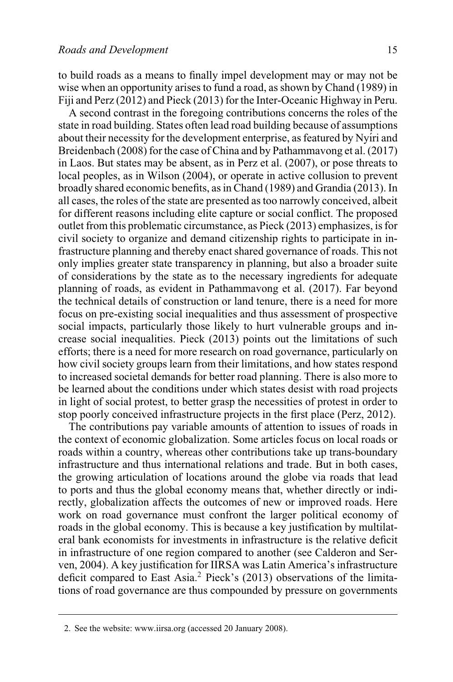to build roads as a means to finally impel development may or may not be wise when an opportunity arises to fund a road, as shown by [Chand \(1989\)](http://onlinelibrary.wiley.com/doi/10.1111/j.1467-7660.1989.tb00347.x/full) in Fiji and [Perz \(2012\)](http://onlinelibrary.wiley.com/doi/10.1111/j.1467-7660.2012.01773.x/full) and [Pieck \(2013\)](http://onlinelibrary.wiley.com/doi/10.1111/dech.12056/full) for the Inter-Oceanic Highway in Peru.

A second contrast in the foregoing contributions concerns the roles of the state in road building. States often lead road building because of assumptions about their necessity for the development enterprise, as featured by Nyíri and [Breidenbach \(2008\)](http://onlinelibrary.wiley.com/doi/10.1111/j.1467-7660.2008.00471.x/full) for the case of China and by [Pathammavong et al. \(2017\)](http://onlinelibrary.wiley.com/doi/10.1111/dech.12339/full) in Laos. But states may be absent, as in [Perz et al. \(2007\),](http://onlinelibrary.wiley.com/doi/10.1111/j.1467-7660.2007.00422.x/full) or pose threats to local peoples, as in [Wilson \(2004\),](http://onlinelibrary.wiley.com/doi/10.1111/j.1467-7660.2004.00364.x/full) or operate in active collusion to prevent broadly shared economic benefits, as in [Chand \(1989\)](http://onlinelibrary.wiley.com/doi/10.1111/j.1467-7660.1989.tb00347.x/full) and [Grandia \(2013\).](http://onlinelibrary.wiley.com/doi/10.1111/dech.12020/full) In all cases, the roles of the state are presented as too narrowly conceived, albeit for different reasons including elite capture or social conflict. The proposed outlet from this problematic circumstance, as [Pieck \(2013\)](http://onlinelibrary.wiley.com/doi/10.1111/dech.12056/full) emphasizes, is for civil society to organize and demand citizenship rights to participate in infrastructure planning and thereby enact shared governance of roads. This not only implies greater state transparency in planning, but also a broader suite of considerations by the state as to the necessary ingredients for adequate planning of roads, as evident in [Pathammavong et al. \(2017\).](http://onlinelibrary.wiley.com/doi/10.1111/dech.12339/full) Far beyond the technical details of construction or land tenure, there is a need for more focus on pre-existing social inequalities and thus assessment of prospective social impacts, particularly those likely to hurt vulnerable groups and increase social inequalities. [Pieck \(2013\)](http://onlinelibrary.wiley.com/doi/10.1111/dech.12056/full) points out the limitations of such efforts; there is a need for more research on road governance, particularly on how civil society groups learn from their limitations, and how states respond to increased societal demands for better road planning. There is also more to be learned about the conditions under which states desist with road projects in light of social protest, to better grasp the necessities of protest in order to stop poorly conceived infrastructure projects in the first place [\(Perz, 2012\).](http://onlinelibrary.wiley.com/doi/10.1111/j.1467-7660.2012.01773.x/full)

The contributions pay variable amounts of attention to issues of roads in the context of economic globalization. Some articles focus on local roads or roads within a country, whereas other contributions take up trans-boundary infrastructure and thus international relations and trade. But in both cases, the growing articulation of locations around the globe via roads that lead to ports and thus the global economy means that, whether directly or indirectly, globalization affects the outcomes of new or improved roads. Here work on road governance must confront the larger political economy of roads in the global economy. This is because a key justification by multilateral bank economists for investments in infrastructure is the relative deficit in infrastructure of one region compared to another (see Calderon and Serven, 2004). A key justification for IIRSA was Latin America's infrastructure deficit compared to East Asia.2 [Pieck's \(2013\)](http://onlinelibrary.wiley.com/doi/10.1111/dech.12056/full) observations of the limitations of road governance are thus compounded by pressure on governments

<sup>2.</sup> See the website: [www.iirsa.org](http://www.iirsa.org) (accessed 20 January 2008).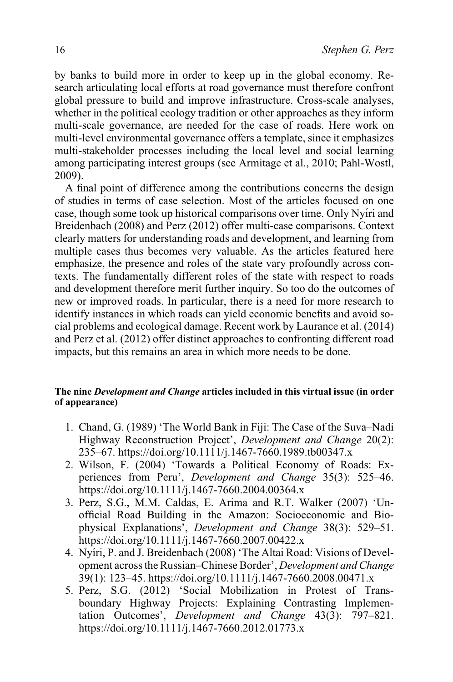by banks to build more in order to keep up in the global economy. Research articulating local efforts at road governance must therefore confront global pressure to build and improve infrastructure. Cross-scale analyses, whether in the political ecology tradition or other approaches as they inform multi-scale governance, are needed for the case of roads. Here work on multi-level environmental governance offers a template, since it emphasizes multi-stakeholder processes including the local level and social learning among participating interest groups (see Armitage et al., 2010; Pahl-Wostl, 2009).

A final point of difference among the contributions concerns the design of studies in terms of case selection. Most of the articles focused on one case, though some took up historical comparisons over time. Only Nyíri and [Breidenbach \(2008\)](http://onlinelibrary.wiley.com/doi/10.1111/j.1467-7660.2008.00471.x/full) and [Perz \(2012\)](http://onlinelibrary.wiley.com/doi/10.1111/j.1467-7660.2012.01773.x/full) offer multi-case comparisons. Context clearly matters for understanding roads and development, and learning from multiple cases thus becomes very valuable. As the articles featured here emphasize, the presence and roles of the state vary profoundly across contexts. The fundamentally different roles of the state with respect to roads and development therefore merit further inquiry. So too do the outcomes of new or improved roads. In particular, there is a need for more research to identify instances in which roads can yield economic benefits and avoid social problems and ecological damage. Recent work by Laurance et al. (2014) and [Perz et al. \(2012\)](http://onlinelibrary.wiley.com/doi/10.1111/j.1467-7660.2012.01773.x/full) offer distinct approaches to confronting different road impacts, but this remains an area in which more needs to be done.

## **The nine** *Development and Change* **articles included in this virtual issue (in order of appearance)**

- 1. Chand, G. (1989) 'The World Bank in Fiji: The Case of the Suva–Nadi Highway Reconstruction Project', *Development and Change* 20(2): 235–67.<https://doi.org/10.1111/j.1467-7660.1989.tb00347.x>
- 2. Wilson, F. (2004) 'Towards a Political Economy of Roads: Experiences from Peru', *Development and Change* 35(3): 525–46. <https://doi.org/10.1111/j.1467-7660.2004.00364.x>
- 3. Perz, S.G., M.M. Caldas, E. Arima and R.T. Walker (2007) 'Unofficial Road Building in the Amazon: Socioeconomic and Biophysical Explanations', *Development and Change* 38(3): 529–51. [https://doi.org/10.1111/j.1467-7660.2007.00422.x](https://doi.org/10.1111/j.146767660.2007.00422.x)
- 4. Nyíri, P. and J. Breidenbach (2008) 'The Altai Road: Visions of Development across the Russian–Chinese Border', *Development and Change* 39(1): 123–45.<https://doi.org/10.1111/j.1467-7660.2008.00471.x>
- 5. Perz, S.G. (2012) 'Social Mobilization in Protest of Transboundary Highway Projects: Explaining Contrasting Implementation Outcomes', *Development and Change* 43(3): 797–821. <https://doi.org/10.1111/j.1467-7660.2012.01773.x>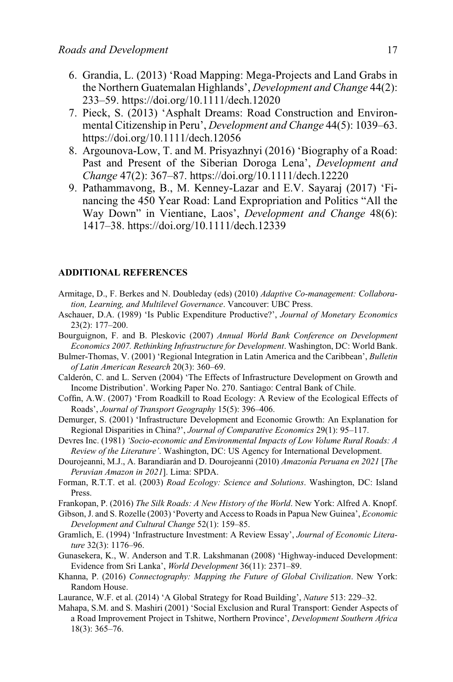- 6. Grandia, L. (2013) 'Road Mapping: Mega-Projects and Land Grabs in the Northern Guatemalan Highlands', *Development and Change* 44(2): 233–59.<https://doi.org/10.1111/dech.12020>
- 7. Pieck, S. (2013) 'Asphalt Dreams: Road Construction and Environmental Citizenship in Peru', *Development and Change* 44(5): 1039–63. <https://doi.org/10.1111/dech.12056>
- 8. Argounova-Low, T. and M. Prisyazhnyi (2016) 'Biography of a Road: Past and Present of the Siberian Doroga Lena', *Development and Change* 47(2): 367–87.<https://doi.org/10.1111/dech.12220>
- 9. Pathammavong, B., M. Kenney-Lazar and E.V. Sayaraj (2017) 'Financing the 450 Year Road: Land Expropriation and Politics "All the Way Down" in Vientiane, Laos', *Development and Change* 48(6): 1417–38.<https://doi.org/10.1111/dech.12339>

#### **ADDITIONAL REFERENCES**

- Armitage, D., F. Berkes and N. Doubleday (eds) (2010) *Adaptive Co-management: Collaboration, Learning, and Multilevel Governance*. Vancouver: UBC Press.
- Aschauer, D.A. (1989) 'Is Public Expenditure Productive?', *Journal of Monetary Economics* 23(2): 177–200.
- Bourguignon, F. and B. Pleskovic (2007) *Annual World Bank Conference on Development Economics 2007. Rethinking Infrastructure for Development*. Washington, DC: World Bank.
- Bulmer-Thomas, V. (2001) 'Regional Integration in Latin America and the Caribbean', *Bulletin of Latin American Research* 20(3): 360–69.
- Calderón, C. and L. Serven (2004) 'The Effects of Infrastructure Development on Growth and Income Distribution'. Working Paper No. 270. Santiago: Central Bank of Chile.
- Coffin, A.W. (2007) 'From Roadkill to Road Ecology: A Review of the Ecological Effects of Roads', *Journal of Transport Geography* 15(5): 396–406.
- Demurger, S. (2001) 'Infrastructure Development and Economic Growth: An Explanation for Regional Disparities in China?', *Journal of Comparative Economics* 29(1): 95–117.
- Devres Inc. (1981) *'Socio-economic and Environmental Impacts of Low Volume Rural Roads: A Review of the Literature'*. Washington, DC: US Agency for International Development.
- Dourojeanni, M.J., A. Barandiarán and D. Dourojeanni (2010) *Amazonía Peruana en 2021* [*The Peruvian Amazon in 2021*]. Lima: SPDA.
- Forman, R.T.T. et al. (2003) *Road Ecology: Science and Solutions*. Washington, DC: Island Press.
- Frankopan, P. (2016) *The Silk Roads: A New History of the World*. New York: Alfred A. Knopf.
- Gibson, J. and S. Rozelle (2003) 'Poverty and Access to Roads in Papua New Guinea', *Economic Development and Cultural Change* 52(1): 159–85.
- Gramlich, E. (1994) 'Infrastructure Investment: A Review Essay', *Journal of Economic Literature* 32(3): 1176–96.
- Gunasekera, K., W. Anderson and T.R. Lakshmanan (2008) 'Highway-induced Development: Evidence from Sri Lanka', *World Development* 36(11): 2371–89.
- Khanna, P. (2016) *Connectography: Mapping the Future of Global Civilization*. New York: Random House.
- Laurance, W.F. et al. (2014) 'A Global Strategy for Road Building', *Nature* 513: 229–32.
- Mahapa, S.M. and S. Mashiri (2001) 'Social Exclusion and Rural Transport: Gender Aspects of a Road Improvement Project in Tshitwe, Northern Province', *Development Southern Africa* 18(3): 365–76.